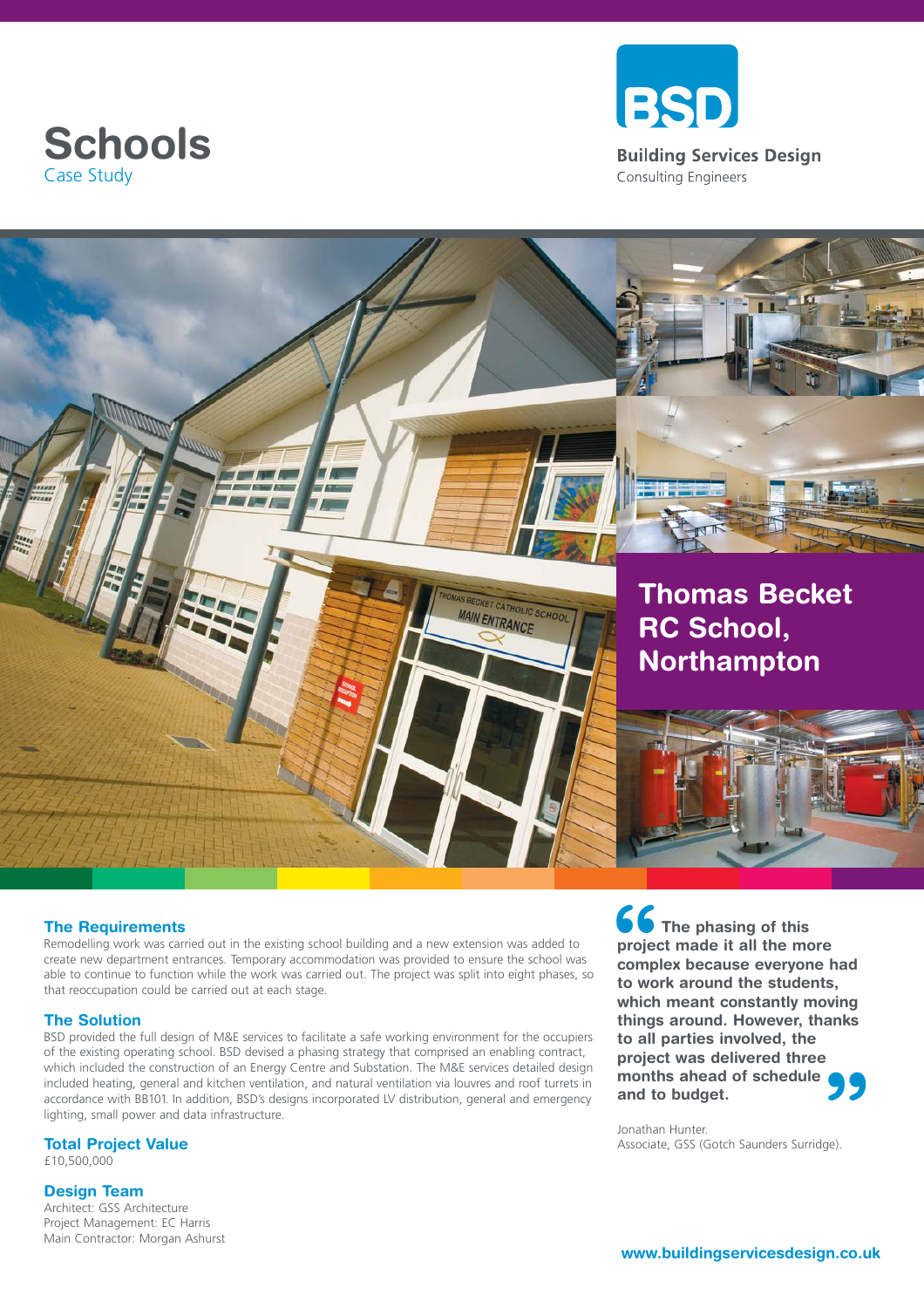





## **The Requirements**

Remodelling work was carried out in the existing school building and a new extension was added to create new department entrances. Temporary accommodation was provided to ensure the school was able to continue to function while the work was carried out. The project was split into eight phases, so that reoccupation could be carried out at each stage.

## **The Solution**

BSD provided the full design of M&E services to facilitate a safe working environment for the occupiers of the existing operating school. BSD devised a phasing strategy that comprised an enabling contract, which included the construction of an Energy Centre and Substation. The M&E services detailed design included heating, general and kitchen ventilation, and natural ventilation via louvres and roof turrets in accordance with BB101. In addition, BSD's designs incorporated LV distribution, general and emergency lighting, small power and data infrastructure.

## **Total Project Value**

£10,500,000

## **Design Team**

Architect: GSS Architecture Project Management: EC Harris Main Contractor: Morgan Ashurst **66**<br>
projec<br>
comp<br>
to wo **99**<br>ge). **The phasing of this project made it all the more complex because everyone had to work around the students, which meant constantly moving things around. However, thanks to all parties involved, the project was delivered three months ahead of schedule and to budget.** 

Jonathan Hunter. Associate, GSS (Gotch Saunders Surridge).